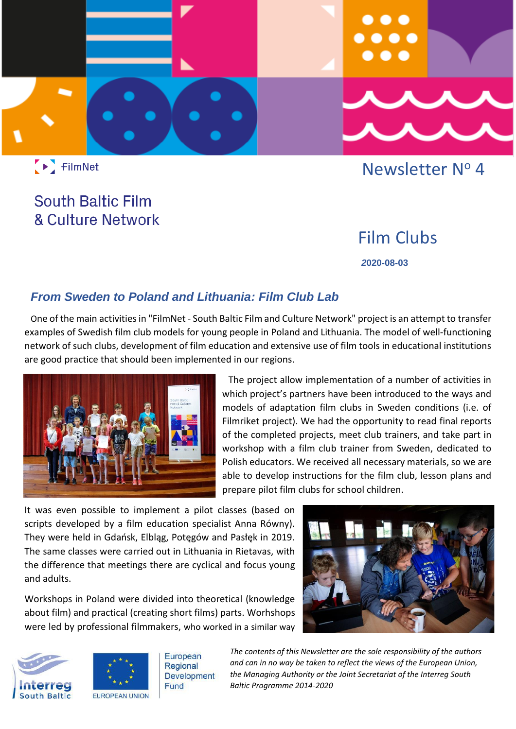

FilmNet

## Newsletter Nº 4

# **South Baltic Film & Culture Network**

## Film Clubs

 *2***020-08-03**

### *From Sweden to Poland and Lithuania: Film Club Lab*

One of the main activities in "FilmNet - South Baltic Film and Culture Network" project is an attempt to transfer examples of Swedish film club models for young people in Poland and Lithuania. The model of well-functioning network of such clubs, development of film education and extensive use of film tools in educational institutions are good practice that should been implemented in our regions.



The project allow implementation of a number of activities in which project's partners have been introduced to the ways and models of adaptation film clubs in Sweden conditions (i.e. of Filmriket project). We had the opportunity to read final reports of the completed projects, meet club trainers, and take part in workshop with a film club trainer from Sweden, dedicated to Polish educators. We received all necessary materials, so we are able to develop instructions for the film club, lesson plans and prepare pilot film clubs for school children.

It was even possible to implement a pilot classes (based on scripts developed by a film education specialist Anna Równy). They were held in Gdańsk, Elbląg, Potęgów and Pasłęk in 2019. The same classes were carried out in Lithuania in Rietavas, with the difference that meetings there are cyclical and focus young and adults.

Workshops in Poland were divided into theoretical (knowledge about film) and practical (creating short films) parts. Worhshops were led by professional filmmakers, who worked in a similar way







European Regional **Development** Fund

*The contents of this Newsletter are the sole responsibility of the authors and can in no way be taken to reflect the views of the European Union, the Managing Authority or the Joint Secretariat of the Interreg South Baltic Programme 2014-2020."*